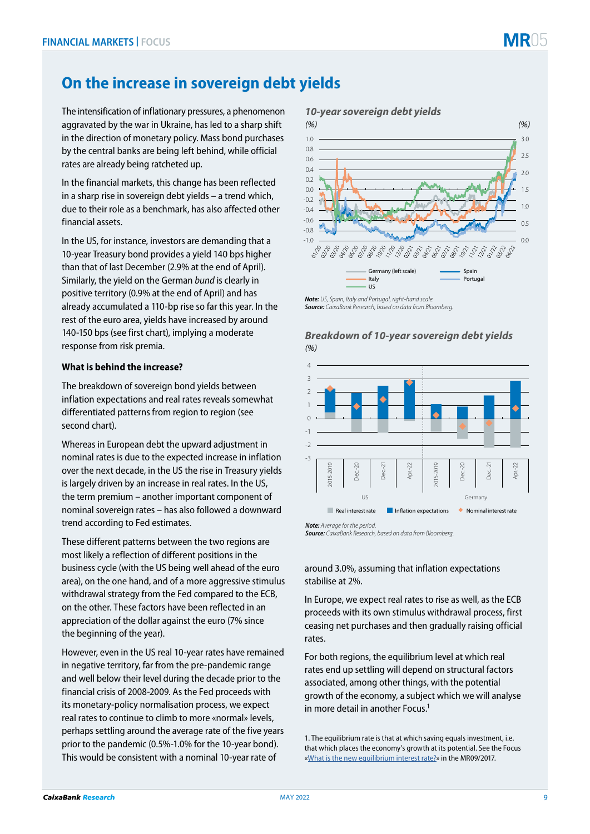## **On the increase in sovereign debt yields**

The intensification of inflationary pressures, a phenomenon aggravated by the war in Ukraine, has led to a sharp shift in the direction of monetary policy. Mass bond purchases by the central banks are being left behind, while official rates are already being ratcheted up.

In the financial markets, this change has been reflected in a sharp rise in sovereign debt yields – a trend which, due to their role as a benchmark, has also affected other financial assets.

In the US, for instance, investors are demanding that a 10-year Treasury bond provides a yield 140 bps higher than that of last December (2.9% at the end of April). Similarly, the yield on the German *bund* is clearly in positive territory (0.9% at the end of April) and has already accumulated a 110-bp rise so far this year. In the rest of the euro area, yields have increased by around 140-150 bps (see first chart), implying a moderate response from risk premia.

## **What is behind the increase?**

The breakdown of sovereign bond yields between inflation expectations and real rates reveals somewhat differentiated patterns from region to region (see second chart).

Whereas in European debt the upward adjustment in nominal rates is due to the expected increase in inflation over the next decade, in the US the rise in Treasury yields is largely driven by an increase in real rates. In the US, the term premium – another important component of nominal sovereign rates – has also followed a downward trend according to Fed estimates.

These different patterns between the two regions are most likely a reflection of different positions in the business cycle (with the US being well ahead of the euro area), on the one hand, and of a more aggressive stimulus withdrawal strategy from the Fed compared to the ECB, on the other. These factors have been reflected in an appreciation of the dollar against the euro (7% since the beginning of the year).

However, even in the US real 10-year rates have remained in negative territory, far from the pre-pandemic range and well below their level during the decade prior to the financial crisis of 2008-2009. As the Fed proceeds with its monetary-policy normalisation process, we expect real rates to continue to climb to more «normal» levels, perhaps settling around the average rate of the five years prior to the pandemic (0.5%-1.0% for the 10-year bond). This would be consistent with a nominal 10-year rate of



*Note: US, Spain, Italy and Portugal, right-hand scale. Source: CaixaBank Research, based on data from Bloomberg.*

## *Breakdown of 10-year sovereign debt yields (%)*



*Note: Average for the period. Source: CaixaBank Research, based on data from Bloomberg.*

around 3.0%, assuming that inflation expectations stabilise at 2%.

In Europe, we expect real rates to rise as well, as the ECB proceeds with its own stimulus withdrawal process, first ceasing net purchases and then gradually raising official rates.

For both regions, the equilibrium level at which real rates end up settling will depend on structural factors associated, among other things, with the potential growth of the economy, a subject which we will analyse in more detail in another Focus.1

1. The equilibrium rate is that at which saving equals investment, i.e. that which places the economy's growth at its potential. See the Focus «[What is the new equilibrium interest rate?](https://www.caixabankresearch.com/en/economics-markets/monetary-policy/what-new-equilibrium-interest-rate?index=)» in the MR09/2017.